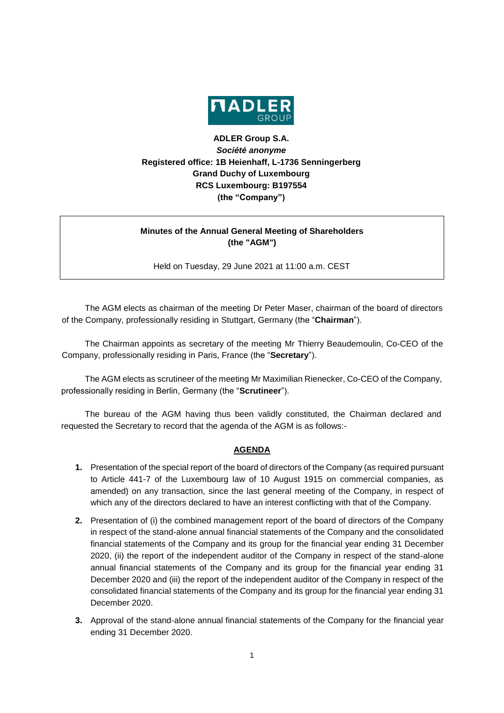

# **ADLER Group S.A.** *Société anonyme* **Registered office: 1B Heienhaff, L-1736 Senningerberg Grand Duchy of Luxembourg RCS Luxembourg: B197554 (the "Company")**

# **Minutes of the Annual General Meeting of Shareholders (the "AGM")**

Held on Tuesday, 29 June 2021 at 11:00 a.m. CEST

The AGM elects as chairman of the meeting Dr Peter Maser, chairman of the board of directors of the Company, professionally residing in Stuttgart, Germany (the "**Chairman**").

The Chairman appoints as secretary of the meeting Mr Thierry Beaudemoulin, Co-CEO of the Company, professionally residing in Paris, France (the "**Secretary**").

The AGM elects as scrutineer of the meeting Mr Maximilian Rienecker, Co-CEO of the Company, professionally residing in Berlin, Germany (the "**Scrutineer**").

The bureau of the AGM having thus been validly constituted, the Chairman declared and requested the Secretary to record that the agenda of the AGM is as follows:-

#### **AGENDA**

- **1.** Presentation of the special report of the board of directors of the Company (as required pursuant to Article 441-7 of the Luxembourg law of 10 August 1915 on commercial companies, as amended) on any transaction, since the last general meeting of the Company, in respect of which any of the directors declared to have an interest conflicting with that of the Company.
- **2.** Presentation of (i) the combined management report of the board of directors of the Company in respect of the stand-alone annual financial statements of the Company and the consolidated financial statements of the Company and its group for the financial year ending 31 December 2020, (ii) the report of the independent auditor of the Company in respect of the stand-alone annual financial statements of the Company and its group for the financial year ending 31 December 2020 and (iii) the report of the independent auditor of the Company in respect of the consolidated financial statements of the Company and its group for the financial year ending 31 December 2020.
- **3.** Approval of the stand-alone annual financial statements of the Company for the financial year ending 31 December 2020.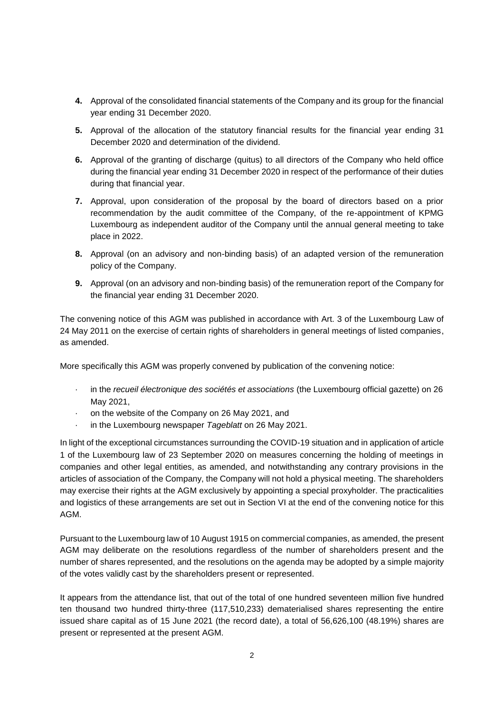- **4.** Approval of the consolidated financial statements of the Company and its group for the financial year ending 31 December 2020.
- **5.** Approval of the allocation of the statutory financial results for the financial year ending 31 December 2020 and determination of the dividend.
- **6.** Approval of the granting of discharge (quitus) to all directors of the Company who held office during the financial year ending 31 December 2020 in respect of the performance of their duties during that financial year.
- **7.** Approval, upon consideration of the proposal by the board of directors based on a prior recommendation by the audit committee of the Company, of the re-appointment of KPMG Luxembourg as independent auditor of the Company until the annual general meeting to take place in 2022.
- **8.** Approval (on an advisory and non-binding basis) of an adapted version of the remuneration policy of the Company.
- **9.** Approval (on an advisory and non-binding basis) of the remuneration report of the Company for the financial year ending 31 December 2020.

The convening notice of this AGM was published in accordance with Art. 3 of the Luxembourg Law of 24 May 2011 on the exercise of certain rights of shareholders in general meetings of listed companies, as amended.

More specifically this AGM was properly convened by publication of the convening notice:

- · in the *recueil électronique des sociétés et associations* (the Luxembourg official gazette) on 26 May 2021,
- on the website of the Company on 26 May 2021, and
- · in the Luxembourg newspaper *Tageblatt* on 26 May 2021.

In light of the exceptional circumstances surrounding the COVID-19 situation and in application of article 1 of the Luxembourg law of 23 September 2020 on measures concerning the holding of meetings in companies and other legal entities, as amended, and notwithstanding any contrary provisions in the articles of association of the Company, the Company will not hold a physical meeting. The shareholders may exercise their rights at the AGM exclusively by appointing a special proxyholder. The practicalities and logistics of these arrangements are set out in Section VI at the end of the convening notice for this AGM.

Pursuant to the Luxembourg law of 10 August 1915 on commercial companies, as amended, the present AGM may deliberate on the resolutions regardless of the number of shareholders present and the number of shares represented, and the resolutions on the agenda may be adopted by a simple majority of the votes validly cast by the shareholders present or represented.

It appears from the attendance list, that out of the total of one hundred seventeen million five hundred ten thousand two hundred thirty-three (117,510,233) dematerialised shares representing the entire issued share capital as of 15 June 2021 (the record date), a total of 56,626,100 (48.19%) shares are present or represented at the present AGM.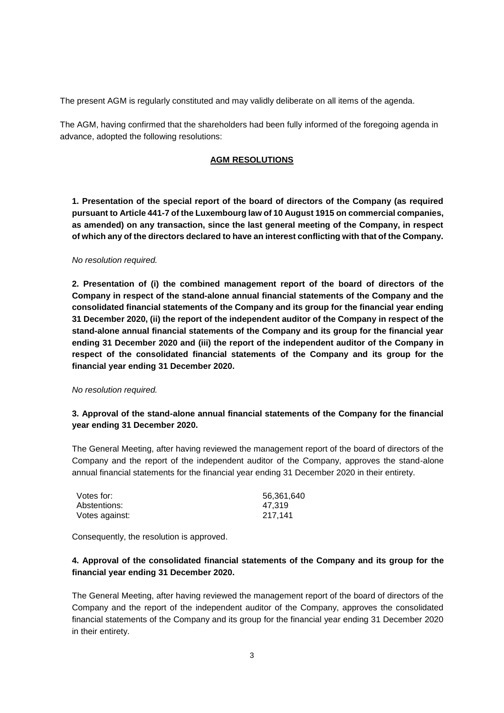The present AGM is regularly constituted and may validly deliberate on all items of the agenda.

The AGM, having confirmed that the shareholders had been fully informed of the foregoing agenda in advance, adopted the following resolutions:

#### **AGM RESOLUTIONS**

**1. Presentation of the special report of the board of directors of the Company (as required pursuant to Article 441-7 of the Luxembourg law of 10 August 1915 on commercial companies, as amended) on any transaction, since the last general meeting of the Company, in respect of which any of the directors declared to have an interest conflicting with that of the Company.**

#### *No resolution required.*

**2. Presentation of (i) the combined management report of the board of directors of the Company in respect of the stand-alone annual financial statements of the Company and the consolidated financial statements of the Company and its group for the financial year ending 31 December 2020, (ii) the report of the independent auditor of the Company in respect of the stand-alone annual financial statements of the Company and its group for the financial year ending 31 December 2020 and (iii) the report of the independent auditor of the Company in respect of the consolidated financial statements of the Company and its group for the financial year ending 31 December 2020.**

#### *No resolution required.*

### **3. Approval of the stand-alone annual financial statements of the Company for the financial year ending 31 December 2020.**

The General Meeting, after having reviewed the management report of the board of directors of the Company and the report of the independent auditor of the Company, approves the stand-alone annual financial statements for the financial year ending 31 December 2020 in their entirety.

| Votes for:     | 56,361,640 |
|----------------|------------|
| Abstentions:   | 47.319     |
| Votes against: | 217.141    |

Consequently, the resolution is approved.

### **4. Approval of the consolidated financial statements of the Company and its group for the financial year ending 31 December 2020.**

The General Meeting, after having reviewed the management report of the board of directors of the Company and the report of the independent auditor of the Company, approves the consolidated financial statements of the Company and its group for the financial year ending 31 December 2020 in their entirety.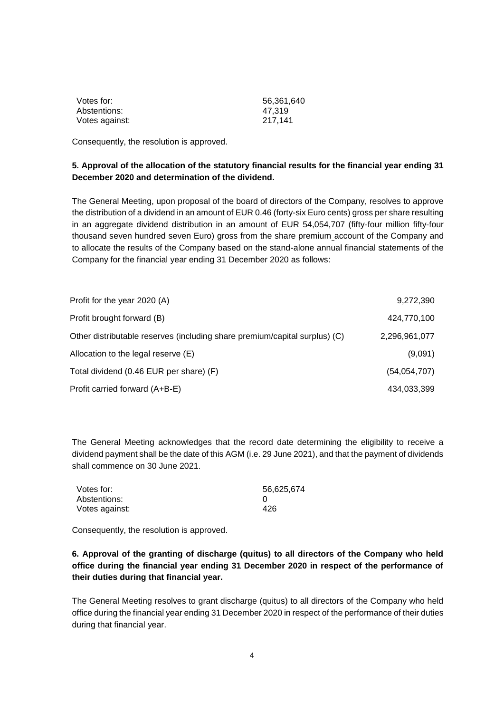| Votes for:     | 56,361,640 |
|----------------|------------|
| Abstentions:   | 47.319     |
| Votes against: | 217.141    |

Consequently, the resolution is approved.

### **5. Approval of the allocation of the statutory financial results for the financial year ending 31 December 2020 and determination of the dividend.**

The General Meeting, upon proposal of the board of directors of the Company, resolves to approve the distribution of a dividend in an amount of EUR 0.46 (forty-six Euro cents) gross per share resulting in an aggregate dividend distribution in an amount of EUR 54,054,707 (fifty-four million fifty-four thousand seven hundred seven Euro) gross from the share premium account of the Company and to allocate the results of the Company based on the stand-alone annual financial statements of the Company for the financial year ending 31 December 2020 as follows:

| Profit for the year 2020 (A)                                               | 9,272,390     |
|----------------------------------------------------------------------------|---------------|
| Profit brought forward (B)                                                 | 424,770,100   |
| Other distributable reserves (including share premium/capital surplus) (C) | 2,296,961,077 |
| Allocation to the legal reserve (E)                                        | (9,091)       |
| Total dividend (0.46 EUR per share) (F)                                    | (54,054,707)  |
| Profit carried forward (A+B-E)                                             | 434,033,399   |

The General Meeting acknowledges that the record date determining the eligibility to receive a dividend payment shall be the date of this AGM (i.e. 29 June 2021), and that the payment of dividends shall commence on 30 June 2021.

| Votes for:     | 56,625,674 |
|----------------|------------|
| Abstentions:   |            |
| Votes against: | 426        |

Consequently, the resolution is approved.

**6. Approval of the granting of discharge (quitus) to all directors of the Company who held office during the financial year ending 31 December 2020 in respect of the performance of their duties during that financial year.**

The General Meeting resolves to grant discharge (quitus) to all directors of the Company who held office during the financial year ending 31 December 2020 in respect of the performance of their duties during that financial year.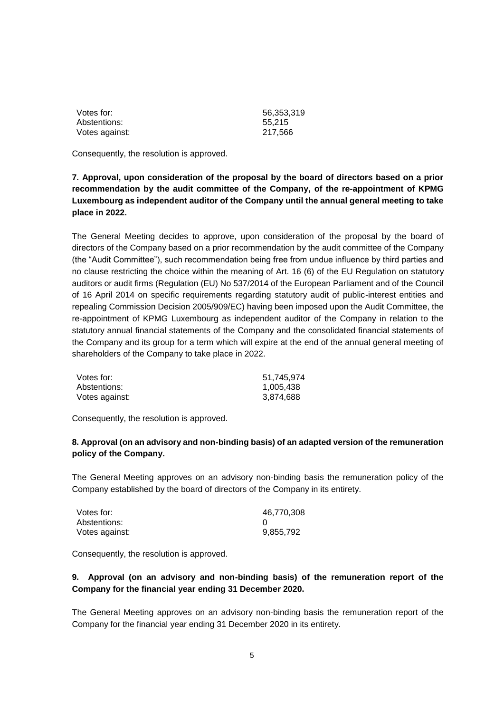| Votes for:     | 56,353,319 |
|----------------|------------|
| Abstentions:   | 55.215     |
| Votes against: | 217.566    |

Consequently, the resolution is approved.

## **7. Approval, upon consideration of the proposal by the board of directors based on a prior recommendation by the audit committee of the Company, of the re-appointment of KPMG Luxembourg as independent auditor of the Company until the annual general meeting to take place in 2022.**

The General Meeting decides to approve, upon consideration of the proposal by the board of directors of the Company based on a prior recommendation by the audit committee of the Company (the "Audit Committee"), such recommendation being free from undue influence by third parties and no clause restricting the choice within the meaning of Art. 16 (6) of the EU Regulation on statutory auditors or audit firms (Regulation (EU) No 537/2014 of the European Parliament and of the Council of 16 April 2014 on specific requirements regarding statutory audit of public-interest entities and repealing Commission Decision 2005/909/EC) having been imposed upon the Audit Committee, the re-appointment of KPMG Luxembourg as independent auditor of the Company in relation to the statutory annual financial statements of the Company and the consolidated financial statements of the Company and its group for a term which will expire at the end of the annual general meeting of shareholders of the Company to take place in 2022.

| Votes for:     | 51,745,974 |
|----------------|------------|
| Abstentions:   | 1,005,438  |
| Votes against: | 3.874.688  |

Consequently, the resolution is approved.

### **8. Approval (on an advisory and non-binding basis) of an adapted version of the remuneration policy of the Company.**

The General Meeting approves on an advisory non-binding basis the remuneration policy of the Company established by the board of directors of the Company in its entirety.

| Votes for:     | 46,770,308 |
|----------------|------------|
| Abstentions:   |            |
| Votes against: | 9,855,792  |

Consequently, the resolution is approved.

### **9. Approval (on an advisory and non-binding basis) of the remuneration report of the Company for the financial year ending 31 December 2020.**

The General Meeting approves on an advisory non-binding basis the remuneration report of the Company for the financial year ending 31 December 2020 in its entirety.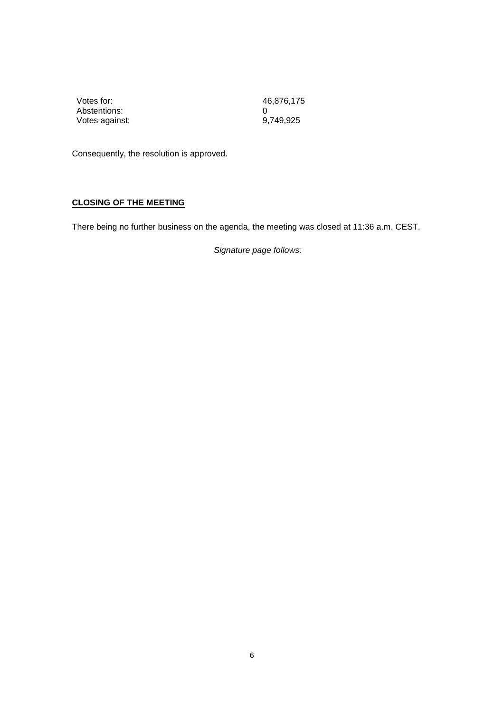| Votes for:     | 46,876,175 |
|----------------|------------|
| Abstentions:   |            |
| Votes against: | 9.749.925  |

Consequently, the resolution is approved.

# **CLOSING OF THE MEETING**

There being no further business on the agenda, the meeting was closed at 11:36 a.m. CEST.

*Signature page follows:*